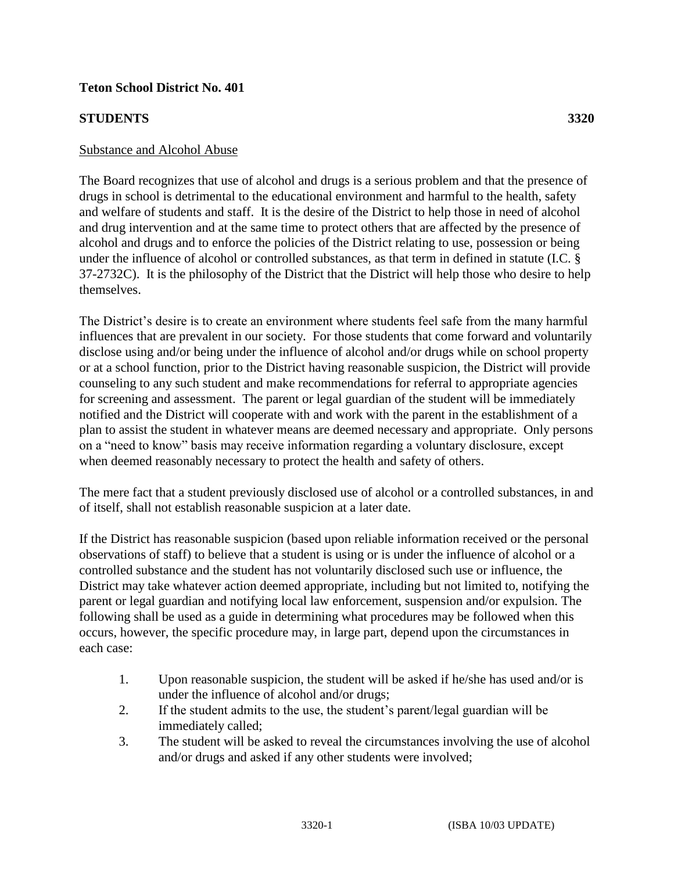## **STUDENTS 3320**

## Substance and Alcohol Abuse

The Board recognizes that use of alcohol and drugs is a serious problem and that the presence of drugs in school is detrimental to the educational environment and harmful to the health, safety and welfare of students and staff. It is the desire of the District to help those in need of alcohol and drug intervention and at the same time to protect others that are affected by the presence of alcohol and drugs and to enforce the policies of the District relating to use, possession or being under the influence of alcohol or controlled substances, as that term in defined in statute (I.C. § 37-2732C). It is the philosophy of the District that the District will help those who desire to help themselves.

The District's desire is to create an environment where students feel safe from the many harmful influences that are prevalent in our society. For those students that come forward and voluntarily disclose using and/or being under the influence of alcohol and/or drugs while on school property or at a school function, prior to the District having reasonable suspicion, the District will provide counseling to any such student and make recommendations for referral to appropriate agencies for screening and assessment. The parent or legal guardian of the student will be immediately notified and the District will cooperate with and work with the parent in the establishment of a plan to assist the student in whatever means are deemed necessary and appropriate. Only persons on a "need to know" basis may receive information regarding a voluntary disclosure, except when deemed reasonably necessary to protect the health and safety of others.

The mere fact that a student previously disclosed use of alcohol or a controlled substances, in and of itself, shall not establish reasonable suspicion at a later date.

If the District has reasonable suspicion (based upon reliable information received or the personal observations of staff) to believe that a student is using or is under the influence of alcohol or a controlled substance and the student has not voluntarily disclosed such use or influence, the District may take whatever action deemed appropriate, including but not limited to, notifying the parent or legal guardian and notifying local law enforcement, suspension and/or expulsion. The following shall be used as a guide in determining what procedures may be followed when this occurs, however, the specific procedure may, in large part, depend upon the circumstances in each case:

- 1. Upon reasonable suspicion, the student will be asked if he/she has used and/or is under the influence of alcohol and/or drugs;
- 2. If the student admits to the use, the student's parent/legal guardian will be immediately called;
- 3. The student will be asked to reveal the circumstances involving the use of alcohol and/or drugs and asked if any other students were involved;